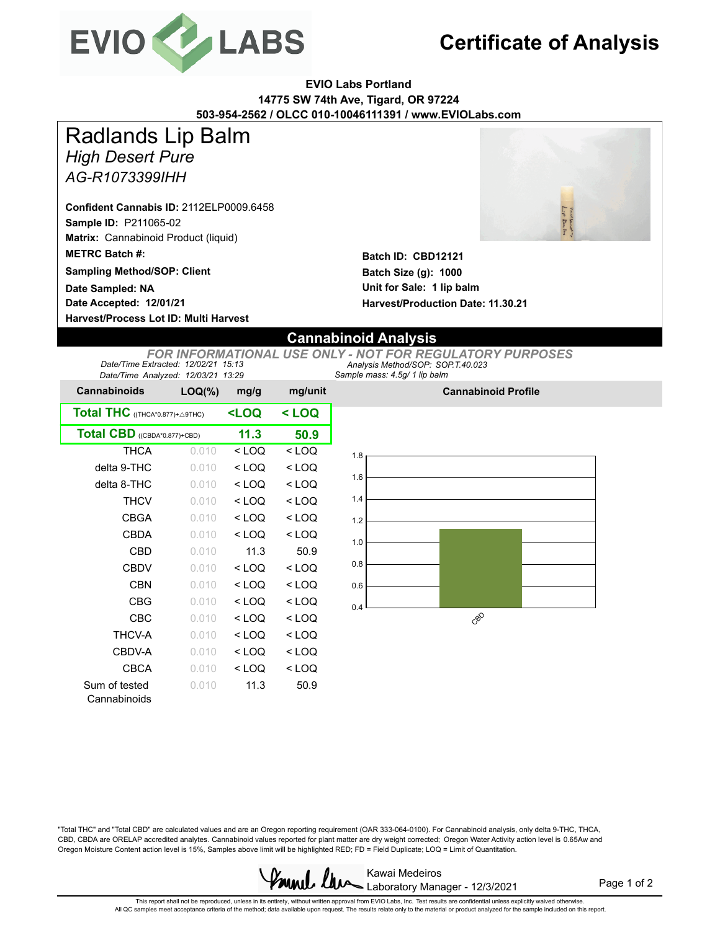

## **Certificate of Analysis**

**EVIO Labs Portland 14775 SW 74th Ave, Tigard, OR 97224 503-954-2562 / OLCC 010-10046111391 / www.EVIOLabs.com**

*High Desert Pure AG-R1073399IHH* Radlands Lip Balm

**Sample ID:** P211065-02 **Matrix:** Cannabinoid Product (liquid) **Confident Cannabis ID:** 2112ELP0009.6458

**METRC Batch #:** 

**Sampling Method/SOP: Client**

**Date Accepted: 12/01/21 Date Sampled: NA**

**Harvest/Process Lot ID: Multi Harvest**



**Batch ID: CBD12121 Batch Size (g): 1000 Unit for Sale: 1 lip balm Harvest/Production Date: 11.30.21**

## **Cannabinoid Analysis**

*Sample mass: 4.5g/ 1 lip balm Analysis Method/SOP: SOP.T.40.023 FOR INFORMATIONAL USE ONLY - NOT FOR REGULATORY PURPOSES Date/Time Extracted: 12/02/21 15:13 Date/Time Analyzed: 12/03/21 13:29*

| <b>Cannabinoids</b>             | $LOQ(\%)$                                        | mg/g    | mg/unit |  |
|---------------------------------|--------------------------------------------------|---------|---------|--|
| Total THC ((THCA*0.877)+ A9THC) | <loq< th=""><th colspan="2">&lt; LOQ</th></loq<> | < LOQ   |         |  |
| Total CBD ((CBDA*0.877)+CBD)    | 11.3                                             | 50.9    |         |  |
| <b>THCA</b>                     | 0.010                                            | $<$ LOQ | $<$ LOQ |  |
| delta 9-THC                     | 0.010                                            | < 1 OQ  | < LOQ   |  |
| delta 8-THC                     | 0.010                                            | $<$ LOQ | $<$ LOO |  |
| THCV                            | 0.010                                            | $<$ LOQ | $<$ LOO |  |
| CBGA                            | 0.010                                            | < LOQ   | $<$ LOQ |  |
| CBDA                            | 0.010                                            | < 1 OQ  | < 1 OQ  |  |
| <b>CBD</b>                      | 0.010                                            | 11.3    | 50.9    |  |
| CBDV                            | 0.010                                            | < LOQ   | < LOQ   |  |
| CBN                             | 0.010                                            | < LOQ   | < LOQ   |  |
| CBG                             | 0.010                                            | $<$ LOQ | $<$ LOO |  |
| CBC                             | 0.010                                            | < LOQ   | < LOQ   |  |
| THCV-A                          | 0.010                                            | < 1 OQ  | < 1 OQ  |  |
| CBDV-A                          | 0.010                                            | < LOQ   | $<$ LOO |  |
| CBCA                            | 0.010                                            | $<$ LOQ | $<$ LOO |  |
| Sum of tested<br>Cannabinoids   | 0.010                                            | 11.3    | 50.9    |  |



**Cannabinoid Profile**

"Total THC" and "Total CBD" are calculated values and are an Oregon reporting requirement (OAR 333-064-0100). For Cannabinoid analysis, only delta 9-THC, THCA, CBD, CBDA are ORELAP accredited analytes. Cannabinoid values reported for plant matter are dry weight corrected; Oregon Water Activity action level is 0.65Aw and Oregon Moisture Content action level is 15%, Samples above limit will be highlighted RED; FD = Field Duplicate; LOQ = Limit of Quantitation.



Page 1 of 2

This report shall not be reproduced, unless in its entirety, without written approval from EVIO Labs, Inc. Test results are confidential unless explicitly waived otherwise.<br>All QC samples meet acceptance criteria of the me